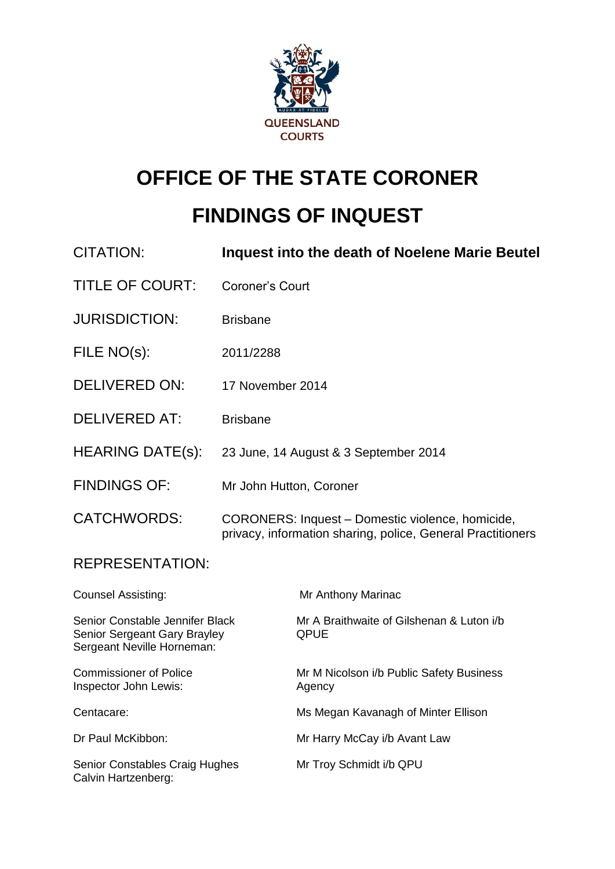

# **OFFICE OF THE STATE CORONER**

# **FINDINGS OF INQUEST**

| <b>CITATION:</b>                                                                              | Inquest into the death of Noelene Marie Beutel                                                                  |                                                          |
|-----------------------------------------------------------------------------------------------|-----------------------------------------------------------------------------------------------------------------|----------------------------------------------------------|
| <b>TITLE OF COURT:</b>                                                                        | Coroner's Court                                                                                                 |                                                          |
| <b>JURISDICTION:</b>                                                                          | <b>Brisbane</b>                                                                                                 |                                                          |
| FILE NO(s):                                                                                   | 2011/2288                                                                                                       |                                                          |
| <b>DELIVERED ON:</b>                                                                          | 17 November 2014                                                                                                |                                                          |
| <b>DELIVERED AT:</b>                                                                          | <b>Brisbane</b>                                                                                                 |                                                          |
| <b>HEARING DATE(s):</b>                                                                       | 23 June, 14 August & 3 September 2014                                                                           |                                                          |
| <b>FINDINGS OF:</b>                                                                           | Mr John Hutton, Coroner                                                                                         |                                                          |
| <b>CATCHWORDS:</b>                                                                            | CORONERS: Inquest - Domestic violence, homicide,<br>privacy, information sharing, police, General Practitioners |                                                          |
| <b>REPRESENTATION:</b>                                                                        |                                                                                                                 |                                                          |
| <b>Counsel Assisting:</b>                                                                     |                                                                                                                 | Mr Anthony Marinac                                       |
| Senior Constable Jennifer Black<br>Senior Sergeant Gary Brayley<br>Sergeant Neville Horneman: |                                                                                                                 | Mr A Braithwaite of Gilshenan & Luton i/b<br><b>QPUE</b> |
| <b>Commissioner of Police</b><br>Inspector John Lewis:                                        |                                                                                                                 | Mr M Nicolson i/b Public Safety Business<br>Agency       |
| Centacare:                                                                                    |                                                                                                                 | Ms Megan Kavanagh of Minter Ellison                      |
| Dr Paul McKibbon:                                                                             |                                                                                                                 | Mr Harry McCay i/b Avant Law                             |
| <b>Senior Constables Craig Hughes</b><br>Calvin Hartzenberg:                                  |                                                                                                                 | Mr Troy Schmidt i/b QPU                                  |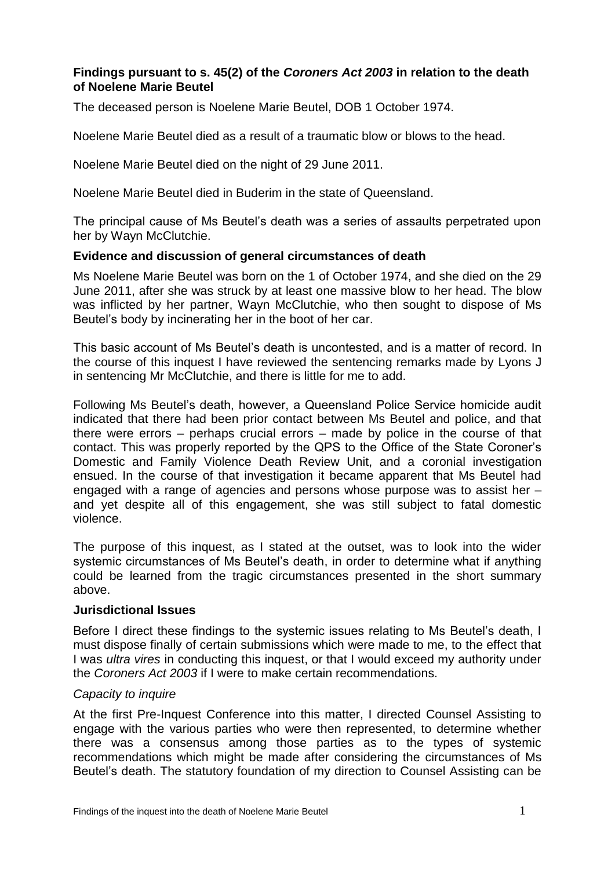# **Findings pursuant to s. 45(2) of the** *Coroners Act 2003* **in relation to the death of Noelene Marie Beutel**

The deceased person is Noelene Marie Beutel, DOB 1 October 1974.

Noelene Marie Beutel died as a result of a traumatic blow or blows to the head.

Noelene Marie Beutel died on the night of 29 June 2011.

Noelene Marie Beutel died in Buderim in the state of Queensland.

The principal cause of Ms Beutel's death was a series of assaults perpetrated upon her by Wayn McClutchie.

# **Evidence and discussion of general circumstances of death**

Ms Noelene Marie Beutel was born on the 1 of October 1974, and she died on the 29 June 2011, after she was struck by at least one massive blow to her head. The blow was inflicted by her partner, Wayn McClutchie, who then sought to dispose of Ms Beutel's body by incinerating her in the boot of her car.

This basic account of Ms Beutel's death is uncontested, and is a matter of record. In the course of this inquest I have reviewed the sentencing remarks made by Lyons J in sentencing Mr McClutchie, and there is little for me to add.

Following Ms Beutel's death, however, a Queensland Police Service homicide audit indicated that there had been prior contact between Ms Beutel and police, and that there were errors – perhaps crucial errors – made by police in the course of that contact. This was properly reported by the QPS to the Office of the State Coroner's Domestic and Family Violence Death Review Unit, and a coronial investigation ensued. In the course of that investigation it became apparent that Ms Beutel had engaged with a range of agencies and persons whose purpose was to assist her – and yet despite all of this engagement, she was still subject to fatal domestic violence.

The purpose of this inquest, as I stated at the outset, was to look into the wider systemic circumstances of Ms Beutel's death, in order to determine what if anything could be learned from the tragic circumstances presented in the short summary above.

## **Jurisdictional Issues**

Before I direct these findings to the systemic issues relating to Ms Beutel's death, I must dispose finally of certain submissions which were made to me, to the effect that I was *ultra vires* in conducting this inquest, or that I would exceed my authority under the *Coroners Act 2003* if I were to make certain recommendations.

## *Capacity to inquire*

At the first Pre-Inquest Conference into this matter, I directed Counsel Assisting to engage with the various parties who were then represented, to determine whether there was a consensus among those parties as to the types of systemic recommendations which might be made after considering the circumstances of Ms Beutel's death. The statutory foundation of my direction to Counsel Assisting can be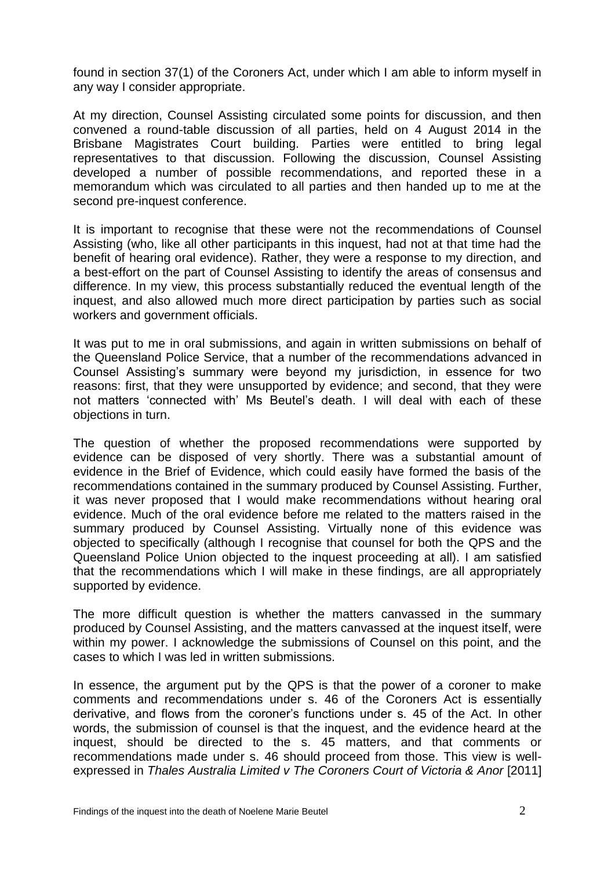found in section 37(1) of the Coroners Act, under which I am able to inform myself in any way I consider appropriate.

At my direction, Counsel Assisting circulated some points for discussion, and then convened a round-table discussion of all parties, held on 4 August 2014 in the Brisbane Magistrates Court building. Parties were entitled to bring legal representatives to that discussion. Following the discussion, Counsel Assisting developed a number of possible recommendations, and reported these in a memorandum which was circulated to all parties and then handed up to me at the second pre-inquest conference.

It is important to recognise that these were not the recommendations of Counsel Assisting (who, like all other participants in this inquest, had not at that time had the benefit of hearing oral evidence). Rather, they were a response to my direction, and a best-effort on the part of Counsel Assisting to identify the areas of consensus and difference. In my view, this process substantially reduced the eventual length of the inquest, and also allowed much more direct participation by parties such as social workers and government officials.

It was put to me in oral submissions, and again in written submissions on behalf of the Queensland Police Service, that a number of the recommendations advanced in Counsel Assisting's summary were beyond my jurisdiction, in essence for two reasons: first, that they were unsupported by evidence; and second, that they were not matters 'connected with' Ms Beutel's death. I will deal with each of these objections in turn.

The question of whether the proposed recommendations were supported by evidence can be disposed of very shortly. There was a substantial amount of evidence in the Brief of Evidence, which could easily have formed the basis of the recommendations contained in the summary produced by Counsel Assisting. Further, it was never proposed that I would make recommendations without hearing oral evidence. Much of the oral evidence before me related to the matters raised in the summary produced by Counsel Assisting. Virtually none of this evidence was objected to specifically (although I recognise that counsel for both the QPS and the Queensland Police Union objected to the inquest proceeding at all). I am satisfied that the recommendations which I will make in these findings, are all appropriately supported by evidence.

The more difficult question is whether the matters canvassed in the summary produced by Counsel Assisting, and the matters canvassed at the inquest itself, were within my power. I acknowledge the submissions of Counsel on this point, and the cases to which I was led in written submissions.

In essence, the argument put by the QPS is that the power of a coroner to make comments and recommendations under s. 46 of the Coroners Act is essentially derivative, and flows from the coroner's functions under s. 45 of the Act. In other words, the submission of counsel is that the inquest, and the evidence heard at the inquest, should be directed to the s. 45 matters, and that comments or recommendations made under s. 46 should proceed from those. This view is wellexpressed in *Thales Australia Limited v The Coroners Court of Victoria & Anor* [2011]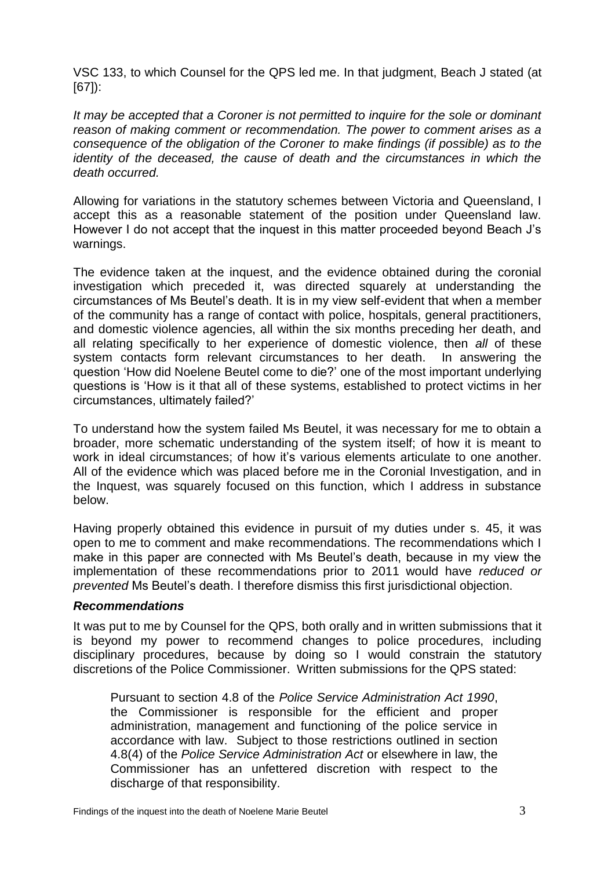VSC 133, to which Counsel for the QPS led me. In that judgment, Beach J stated (at [67]):

*It may be accepted that a Coroner is not permitted to inquire for the sole or dominant reason of making comment or recommendation. The power to comment arises as a consequence of the obligation of the Coroner to make findings (if possible) as to the identity of the deceased, the cause of death and the circumstances in which the death occurred.*

Allowing for variations in the statutory schemes between Victoria and Queensland, I accept this as a reasonable statement of the position under Queensland law. However I do not accept that the inquest in this matter proceeded beyond Beach J's warnings.

The evidence taken at the inquest, and the evidence obtained during the coronial investigation which preceded it, was directed squarely at understanding the circumstances of Ms Beutel's death. It is in my view self-evident that when a member of the community has a range of contact with police, hospitals, general practitioners, and domestic violence agencies, all within the six months preceding her death, and all relating specifically to her experience of domestic violence, then *all* of these system contacts form relevant circumstances to her death. In answering the question 'How did Noelene Beutel come to die?' one of the most important underlying questions is 'How is it that all of these systems, established to protect victims in her circumstances, ultimately failed?'

To understand how the system failed Ms Beutel, it was necessary for me to obtain a broader, more schematic understanding of the system itself; of how it is meant to work in ideal circumstances; of how it's various elements articulate to one another. All of the evidence which was placed before me in the Coronial Investigation, and in the Inquest, was squarely focused on this function, which I address in substance below.

Having properly obtained this evidence in pursuit of my duties under s. 45, it was open to me to comment and make recommendations. The recommendations which I make in this paper are connected with Ms Beutel's death, because in my view the implementation of these recommendations prior to 2011 would have *reduced or prevented* Ms Beutel's death. I therefore dismiss this first jurisdictional objection.

# *Recommendations*

It was put to me by Counsel for the QPS, both orally and in written submissions that it is beyond my power to recommend changes to police procedures, including disciplinary procedures, because by doing so I would constrain the statutory discretions of the Police Commissioner. Written submissions for the QPS stated:

Pursuant to section 4.8 of the *Police Service Administration Act 1990*, the Commissioner is responsible for the efficient and proper administration, management and functioning of the police service in accordance with law. Subject to those restrictions outlined in section 4.8(4) of the *Police Service Administration Act* or elsewhere in law, the Commissioner has an unfettered discretion with respect to the discharge of that responsibility.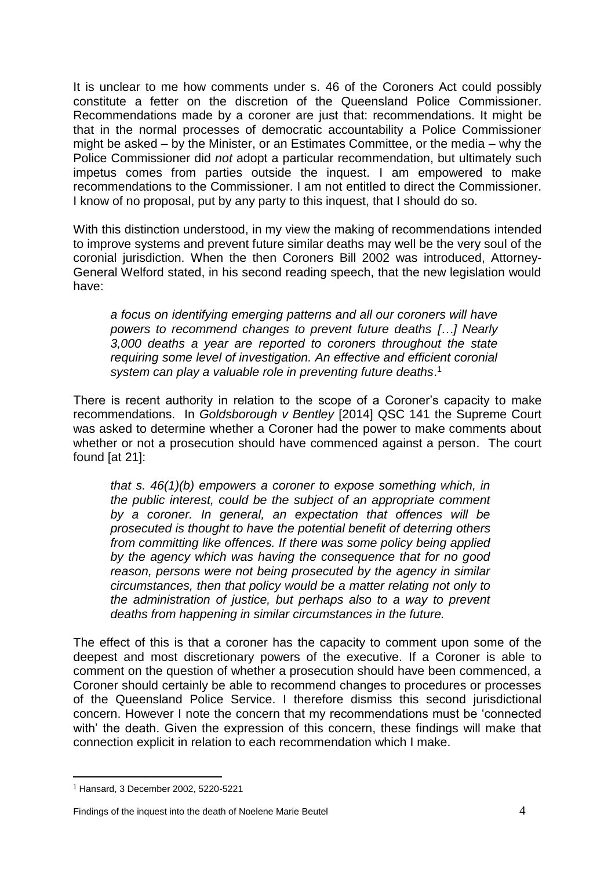It is unclear to me how comments under s. 46 of the Coroners Act could possibly constitute a fetter on the discretion of the Queensland Police Commissioner. Recommendations made by a coroner are just that: recommendations. It might be that in the normal processes of democratic accountability a Police Commissioner might be asked – by the Minister, or an Estimates Committee, or the media – why the Police Commissioner did *not* adopt a particular recommendation, but ultimately such impetus comes from parties outside the inquest. I am empowered to make recommendations to the Commissioner. I am not entitled to direct the Commissioner. I know of no proposal, put by any party to this inquest, that I should do so.

With this distinction understood, in my view the making of recommendations intended to improve systems and prevent future similar deaths may well be the very soul of the coronial jurisdiction. When the then Coroners Bill 2002 was introduced, Attorney-General Welford stated, in his second reading speech, that the new legislation would have:

*a focus on identifying emerging patterns and all our coroners will have powers to recommend changes to prevent future deaths […] Nearly 3,000 deaths a year are reported to coroners throughout the state requiring some level of investigation. An effective and efficient coronial system can play a valuable role in preventing future deaths*. 1

There is recent authority in relation to the scope of a Coroner's capacity to make recommendations. In *Goldsborough v Bentley* [2014] QSC 141 the Supreme Court was asked to determine whether a Coroner had the power to make comments about whether or not a prosecution should have commenced against a person. The court found [at 21]:

*that s. 46(1)(b) empowers a coroner to expose something which, in the public interest, could be the subject of an appropriate comment by a coroner. In general, an expectation that offences will be prosecuted is thought to have the potential benefit of deterring others from committing like offences. If there was some policy being applied by the agency which was having the consequence that for no good reason, persons were not being prosecuted by the agency in similar circumstances, then that policy would be a matter relating not only to the administration of justice, but perhaps also to a way to prevent deaths from happening in similar circumstances in the future.*

The effect of this is that a coroner has the capacity to comment upon some of the deepest and most discretionary powers of the executive. If a Coroner is able to comment on the question of whether a prosecution should have been commenced, a Coroner should certainly be able to recommend changes to procedures or processes of the Queensland Police Service. I therefore dismiss this second jurisdictional concern. However I note the concern that my recommendations must be 'connected with' the death. Given the expression of this concern, these findings will make that connection explicit in relation to each recommendation which I make.

 $\overline{a}$ 

#### Findings of the inquest into the death of Noelene Marie Beutel **4** 4

 $1$  Hansard, 3 December 2002, 5220-5221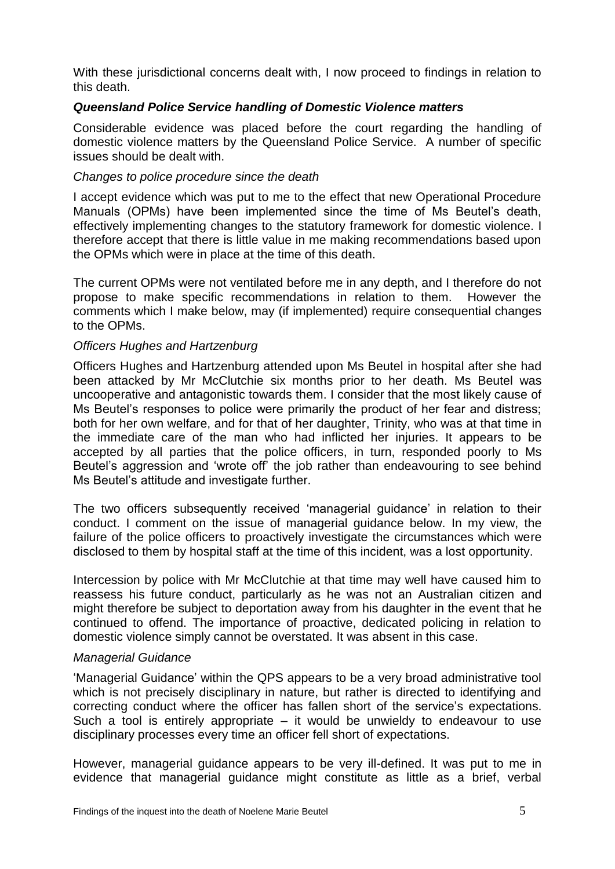With these jurisdictional concerns dealt with, I now proceed to findings in relation to this death.

# *Queensland Police Service handling of Domestic Violence matters*

Considerable evidence was placed before the court regarding the handling of domestic violence matters by the Queensland Police Service. A number of specific issues should be dealt with.

# *Changes to police procedure since the death*

I accept evidence which was put to me to the effect that new Operational Procedure Manuals (OPMs) have been implemented since the time of Ms Beutel's death, effectively implementing changes to the statutory framework for domestic violence. I therefore accept that there is little value in me making recommendations based upon the OPMs which were in place at the time of this death.

The current OPMs were not ventilated before me in any depth, and I therefore do not propose to make specific recommendations in relation to them. However the comments which I make below, may (if implemented) require consequential changes to the OPMs.

## *Officers Hughes and Hartzenburg*

Officers Hughes and Hartzenburg attended upon Ms Beutel in hospital after she had been attacked by Mr McClutchie six months prior to her death. Ms Beutel was uncooperative and antagonistic towards them. I consider that the most likely cause of Ms Beutel's responses to police were primarily the product of her fear and distress; both for her own welfare, and for that of her daughter, Trinity, who was at that time in the immediate care of the man who had inflicted her injuries. It appears to be accepted by all parties that the police officers, in turn, responded poorly to Ms Beutel's aggression and 'wrote off' the job rather than endeavouring to see behind Ms Beutel's attitude and investigate further.

The two officers subsequently received 'managerial guidance' in relation to their conduct. I comment on the issue of managerial guidance below. In my view, the failure of the police officers to proactively investigate the circumstances which were disclosed to them by hospital staff at the time of this incident, was a lost opportunity.

Intercession by police with Mr McClutchie at that time may well have caused him to reassess his future conduct, particularly as he was not an Australian citizen and might therefore be subject to deportation away from his daughter in the event that he continued to offend. The importance of proactive, dedicated policing in relation to domestic violence simply cannot be overstated. It was absent in this case.

## *Managerial Guidance*

'Managerial Guidance' within the QPS appears to be a very broad administrative tool which is not precisely disciplinary in nature, but rather is directed to identifying and correcting conduct where the officer has fallen short of the service's expectations. Such a tool is entirely appropriate – it would be unwieldy to endeavour to use disciplinary processes every time an officer fell short of expectations.

However, managerial guidance appears to be very ill-defined. It was put to me in evidence that managerial guidance might constitute as little as a brief, verbal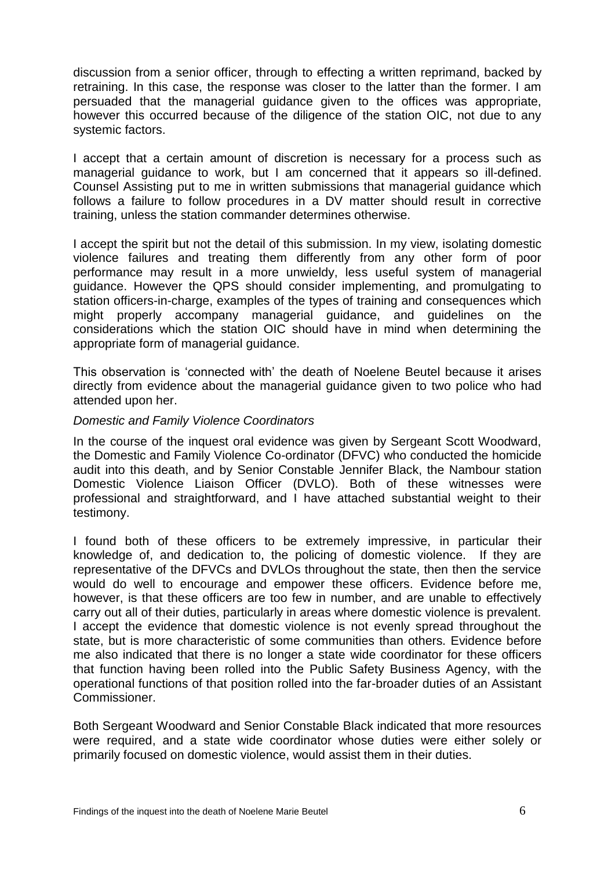discussion from a senior officer, through to effecting a written reprimand, backed by retraining. In this case, the response was closer to the latter than the former. I am persuaded that the managerial guidance given to the offices was appropriate, however this occurred because of the diligence of the station OIC, not due to any systemic factors.

I accept that a certain amount of discretion is necessary for a process such as managerial guidance to work, but I am concerned that it appears so ill-defined. Counsel Assisting put to me in written submissions that managerial guidance which follows a failure to follow procedures in a DV matter should result in corrective training, unless the station commander determines otherwise.

I accept the spirit but not the detail of this submission. In my view, isolating domestic violence failures and treating them differently from any other form of poor performance may result in a more unwieldy, less useful system of managerial guidance. However the QPS should consider implementing, and promulgating to station officers-in-charge, examples of the types of training and consequences which might properly accompany managerial guidance, and guidelines on the considerations which the station OIC should have in mind when determining the appropriate form of managerial guidance.

This observation is 'connected with' the death of Noelene Beutel because it arises directly from evidence about the managerial guidance given to two police who had attended upon her.

# *Domestic and Family Violence Coordinators*

In the course of the inquest oral evidence was given by Sergeant Scott Woodward, the Domestic and Family Violence Co-ordinator (DFVC) who conducted the homicide audit into this death, and by Senior Constable Jennifer Black, the Nambour station Domestic Violence Liaison Officer (DVLO). Both of these witnesses were professional and straightforward, and I have attached substantial weight to their testimony.

I found both of these officers to be extremely impressive, in particular their knowledge of, and dedication to, the policing of domestic violence. If they are representative of the DFVCs and DVLOs throughout the state, then then the service would do well to encourage and empower these officers. Evidence before me, however, is that these officers are too few in number, and are unable to effectively carry out all of their duties, particularly in areas where domestic violence is prevalent. I accept the evidence that domestic violence is not evenly spread throughout the state, but is more characteristic of some communities than others. Evidence before me also indicated that there is no longer a state wide coordinator for these officers that function having been rolled into the Public Safety Business Agency, with the operational functions of that position rolled into the far-broader duties of an Assistant Commissioner.

Both Sergeant Woodward and Senior Constable Black indicated that more resources were required, and a state wide coordinator whose duties were either solely or primarily focused on domestic violence, would assist them in their duties.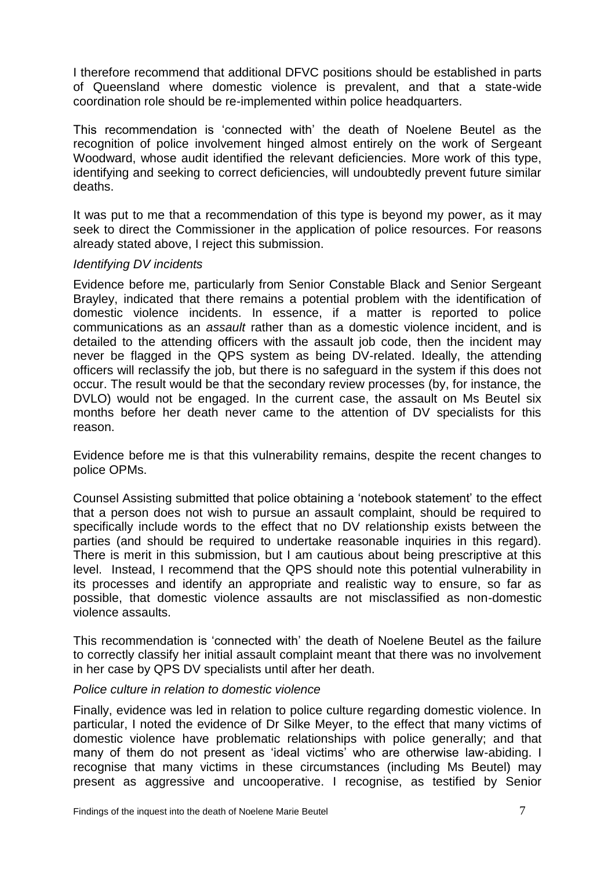I therefore recommend that additional DFVC positions should be established in parts of Queensland where domestic violence is prevalent, and that a state-wide coordination role should be re-implemented within police headquarters.

This recommendation is 'connected with' the death of Noelene Beutel as the recognition of police involvement hinged almost entirely on the work of Sergeant Woodward, whose audit identified the relevant deficiencies. More work of this type, identifying and seeking to correct deficiencies, will undoubtedly prevent future similar deaths.

It was put to me that a recommendation of this type is beyond my power, as it may seek to direct the Commissioner in the application of police resources. For reasons already stated above, I reject this submission.

# *Identifying DV incidents*

Evidence before me, particularly from Senior Constable Black and Senior Sergeant Brayley, indicated that there remains a potential problem with the identification of domestic violence incidents. In essence, if a matter is reported to police communications as an *assault* rather than as a domestic violence incident, and is detailed to the attending officers with the assault job code, then the incident may never be flagged in the QPS system as being DV-related. Ideally, the attending officers will reclassify the job, but there is no safeguard in the system if this does not occur. The result would be that the secondary review processes (by, for instance, the DVLO) would not be engaged. In the current case, the assault on Ms Beutel six months before her death never came to the attention of DV specialists for this reason.

Evidence before me is that this vulnerability remains, despite the recent changes to police OPMs.

Counsel Assisting submitted that police obtaining a 'notebook statement' to the effect that a person does not wish to pursue an assault complaint, should be required to specifically include words to the effect that no DV relationship exists between the parties (and should be required to undertake reasonable inquiries in this regard). There is merit in this submission, but I am cautious about being prescriptive at this level. Instead, I recommend that the QPS should note this potential vulnerability in its processes and identify an appropriate and realistic way to ensure, so far as possible, that domestic violence assaults are not misclassified as non-domestic violence assaults.

This recommendation is 'connected with' the death of Noelene Beutel as the failure to correctly classify her initial assault complaint meant that there was no involvement in her case by QPS DV specialists until after her death.

## *Police culture in relation to domestic violence*

Finally, evidence was led in relation to police culture regarding domestic violence. In particular, I noted the evidence of Dr Silke Meyer, to the effect that many victims of domestic violence have problematic relationships with police generally; and that many of them do not present as 'ideal victims' who are otherwise law-abiding. I recognise that many victims in these circumstances (including Ms Beutel) may present as aggressive and uncooperative. I recognise, as testified by Senior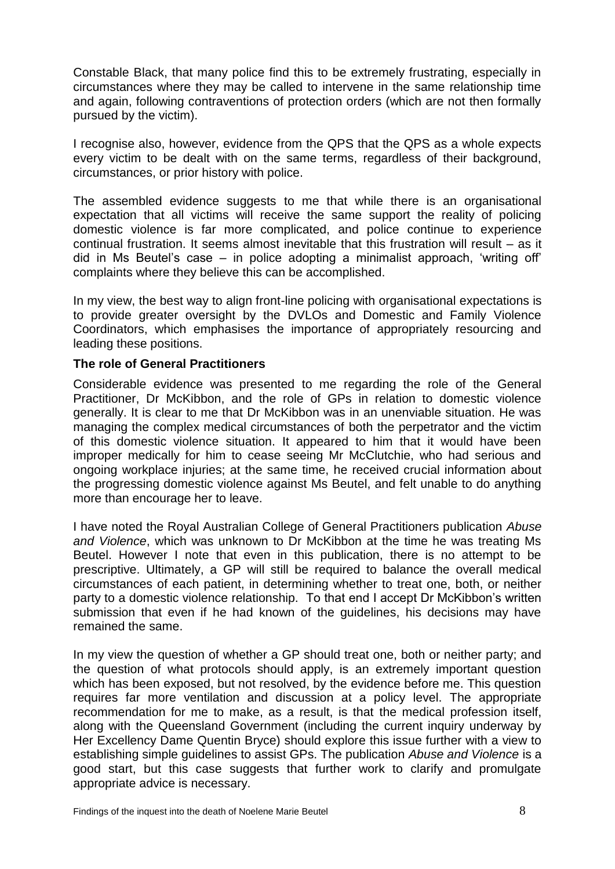Constable Black, that many police find this to be extremely frustrating, especially in circumstances where they may be called to intervene in the same relationship time and again, following contraventions of protection orders (which are not then formally pursued by the victim).

I recognise also, however, evidence from the QPS that the QPS as a whole expects every victim to be dealt with on the same terms, regardless of their background, circumstances, or prior history with police.

The assembled evidence suggests to me that while there is an organisational expectation that all victims will receive the same support the reality of policing domestic violence is far more complicated, and police continue to experience continual frustration. It seems almost inevitable that this frustration will result – as it did in Ms Beutel's case – in police adopting a minimalist approach, 'writing off' complaints where they believe this can be accomplished.

In my view, the best way to align front-line policing with organisational expectations is to provide greater oversight by the DVLOs and Domestic and Family Violence Coordinators, which emphasises the importance of appropriately resourcing and leading these positions.

# **The role of General Practitioners**

Considerable evidence was presented to me regarding the role of the General Practitioner, Dr McKibbon, and the role of GPs in relation to domestic violence generally. It is clear to me that Dr McKibbon was in an unenviable situation. He was managing the complex medical circumstances of both the perpetrator and the victim of this domestic violence situation. It appeared to him that it would have been improper medically for him to cease seeing Mr McClutchie, who had serious and ongoing workplace injuries; at the same time, he received crucial information about the progressing domestic violence against Ms Beutel, and felt unable to do anything more than encourage her to leave.

I have noted the Royal Australian College of General Practitioners publication *Abuse and Violence*, which was unknown to Dr McKibbon at the time he was treating Ms Beutel. However I note that even in this publication, there is no attempt to be prescriptive. Ultimately, a GP will still be required to balance the overall medical circumstances of each patient, in determining whether to treat one, both, or neither party to a domestic violence relationship. To that end I accept Dr McKibbon's written submission that even if he had known of the guidelines, his decisions may have remained the same.

In my view the question of whether a GP should treat one, both or neither party; and the question of what protocols should apply, is an extremely important question which has been exposed, but not resolved, by the evidence before me. This question requires far more ventilation and discussion at a policy level. The appropriate recommendation for me to make, as a result, is that the medical profession itself, along with the Queensland Government (including the current inquiry underway by Her Excellency Dame Quentin Bryce) should explore this issue further with a view to establishing simple guidelines to assist GPs. The publication *Abuse and Violence* is a good start, but this case suggests that further work to clarify and promulgate appropriate advice is necessary.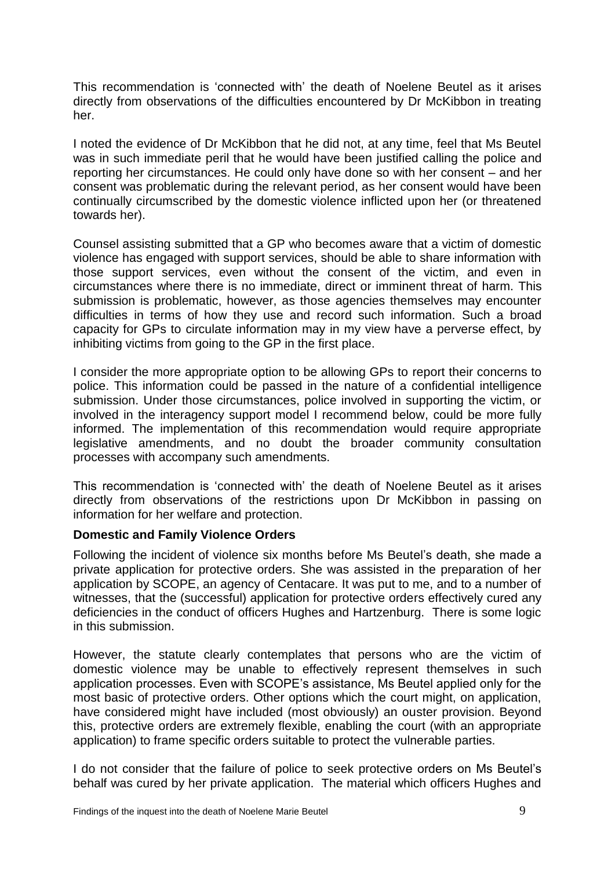This recommendation is 'connected with' the death of Noelene Beutel as it arises directly from observations of the difficulties encountered by Dr McKibbon in treating her.

I noted the evidence of Dr McKibbon that he did not, at any time, feel that Ms Beutel was in such immediate peril that he would have been justified calling the police and reporting her circumstances. He could only have done so with her consent – and her consent was problematic during the relevant period, as her consent would have been continually circumscribed by the domestic violence inflicted upon her (or threatened towards her).

Counsel assisting submitted that a GP who becomes aware that a victim of domestic violence has engaged with support services, should be able to share information with those support services, even without the consent of the victim, and even in circumstances where there is no immediate, direct or imminent threat of harm. This submission is problematic, however, as those agencies themselves may encounter difficulties in terms of how they use and record such information. Such a broad capacity for GPs to circulate information may in my view have a perverse effect, by inhibiting victims from going to the GP in the first place.

I consider the more appropriate option to be allowing GPs to report their concerns to police. This information could be passed in the nature of a confidential intelligence submission. Under those circumstances, police involved in supporting the victim, or involved in the interagency support model I recommend below, could be more fully informed. The implementation of this recommendation would require appropriate legislative amendments, and no doubt the broader community consultation processes with accompany such amendments.

This recommendation is 'connected with' the death of Noelene Beutel as it arises directly from observations of the restrictions upon Dr McKibbon in passing on information for her welfare and protection.

# **Domestic and Family Violence Orders**

Following the incident of violence six months before Ms Beutel's death, she made a private application for protective orders. She was assisted in the preparation of her application by SCOPE, an agency of Centacare. It was put to me, and to a number of witnesses, that the (successful) application for protective orders effectively cured any deficiencies in the conduct of officers Hughes and Hartzenburg. There is some logic in this submission.

However, the statute clearly contemplates that persons who are the victim of domestic violence may be unable to effectively represent themselves in such application processes. Even with SCOPE's assistance, Ms Beutel applied only for the most basic of protective orders. Other options which the court might, on application, have considered might have included (most obviously) an ouster provision. Beyond this, protective orders are extremely flexible, enabling the court (with an appropriate application) to frame specific orders suitable to protect the vulnerable parties.

I do not consider that the failure of police to seek protective orders on Ms Beutel's behalf was cured by her private application. The material which officers Hughes and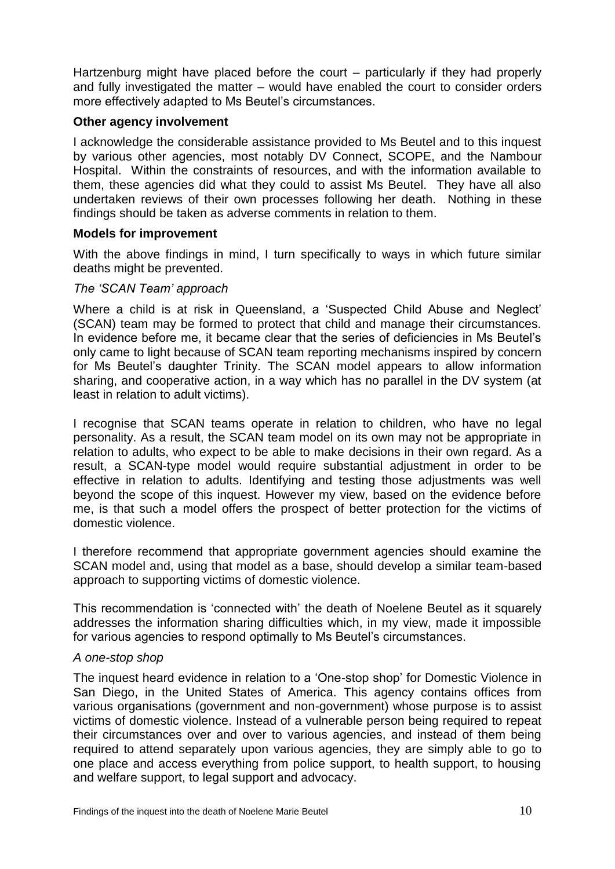Hartzenburg might have placed before the court – particularly if they had properly and fully investigated the matter – would have enabled the court to consider orders more effectively adapted to Ms Beutel's circumstances.

# **Other agency involvement**

I acknowledge the considerable assistance provided to Ms Beutel and to this inquest by various other agencies, most notably DV Connect, SCOPE, and the Nambour Hospital. Within the constraints of resources, and with the information available to them, these agencies did what they could to assist Ms Beutel. They have all also undertaken reviews of their own processes following her death. Nothing in these findings should be taken as adverse comments in relation to them.

## **Models for improvement**

With the above findings in mind, I turn specifically to ways in which future similar deaths might be prevented.

## *The 'SCAN Team' approach*

Where a child is at risk in Queensland, a 'Suspected Child Abuse and Neglect' (SCAN) team may be formed to protect that child and manage their circumstances. In evidence before me, it became clear that the series of deficiencies in Ms Beutel's only came to light because of SCAN team reporting mechanisms inspired by concern for Ms Beutel's daughter Trinity. The SCAN model appears to allow information sharing, and cooperative action, in a way which has no parallel in the DV system (at least in relation to adult victims).

I recognise that SCAN teams operate in relation to children, who have no legal personality. As a result, the SCAN team model on its own may not be appropriate in relation to adults, who expect to be able to make decisions in their own regard. As a result, a SCAN-type model would require substantial adjustment in order to be effective in relation to adults. Identifying and testing those adjustments was well beyond the scope of this inquest. However my view, based on the evidence before me, is that such a model offers the prospect of better protection for the victims of domestic violence.

I therefore recommend that appropriate government agencies should examine the SCAN model and, using that model as a base, should develop a similar team-based approach to supporting victims of domestic violence.

This recommendation is 'connected with' the death of Noelene Beutel as it squarely addresses the information sharing difficulties which, in my view, made it impossible for various agencies to respond optimally to Ms Beutel's circumstances.

## *A one-stop shop*

The inquest heard evidence in relation to a 'One-stop shop' for Domestic Violence in San Diego, in the United States of America. This agency contains offices from various organisations (government and non-government) whose purpose is to assist victims of domestic violence. Instead of a vulnerable person being required to repeat their circumstances over and over to various agencies, and instead of them being required to attend separately upon various agencies, they are simply able to go to one place and access everything from police support, to health support, to housing and welfare support, to legal support and advocacy.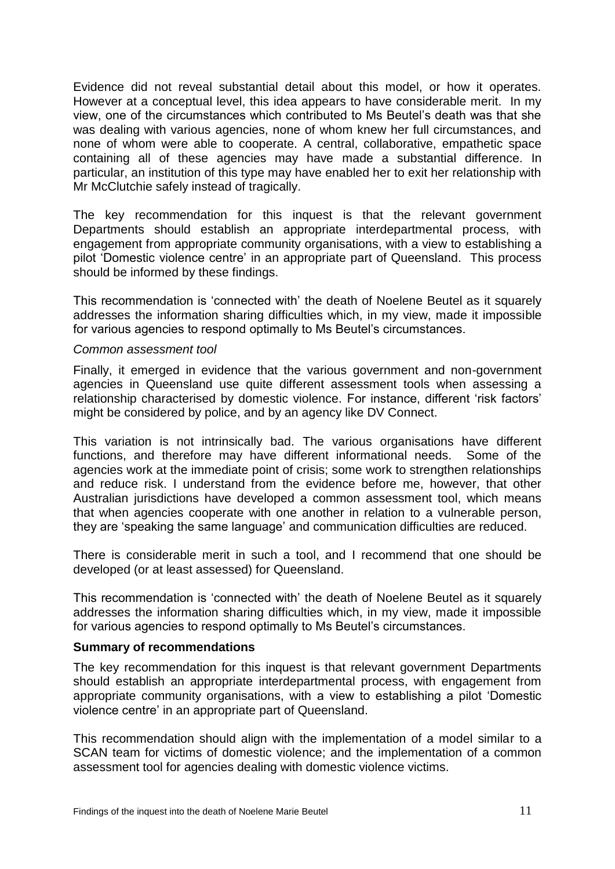Evidence did not reveal substantial detail about this model, or how it operates. However at a conceptual level, this idea appears to have considerable merit. In my view, one of the circumstances which contributed to Ms Beutel's death was that she was dealing with various agencies, none of whom knew her full circumstances, and none of whom were able to cooperate. A central, collaborative, empathetic space containing all of these agencies may have made a substantial difference. In particular, an institution of this type may have enabled her to exit her relationship with Mr McClutchie safely instead of tragically.

The key recommendation for this inquest is that the relevant government Departments should establish an appropriate interdepartmental process, with engagement from appropriate community organisations, with a view to establishing a pilot 'Domestic violence centre' in an appropriate part of Queensland. This process should be informed by these findings.

This recommendation is 'connected with' the death of Noelene Beutel as it squarely addresses the information sharing difficulties which, in my view, made it impossible for various agencies to respond optimally to Ms Beutel's circumstances.

#### *Common assessment tool*

Finally, it emerged in evidence that the various government and non-government agencies in Queensland use quite different assessment tools when assessing a relationship characterised by domestic violence. For instance, different 'risk factors' might be considered by police, and by an agency like DV Connect.

This variation is not intrinsically bad. The various organisations have different functions, and therefore may have different informational needs. Some of the agencies work at the immediate point of crisis; some work to strengthen relationships and reduce risk. I understand from the evidence before me, however, that other Australian jurisdictions have developed a common assessment tool, which means that when agencies cooperate with one another in relation to a vulnerable person, they are 'speaking the same language' and communication difficulties are reduced.

There is considerable merit in such a tool, and I recommend that one should be developed (or at least assessed) for Queensland.

This recommendation is 'connected with' the death of Noelene Beutel as it squarely addresses the information sharing difficulties which, in my view, made it impossible for various agencies to respond optimally to Ms Beutel's circumstances.

## **Summary of recommendations**

The key recommendation for this inquest is that relevant government Departments should establish an appropriate interdepartmental process, with engagement from appropriate community organisations, with a view to establishing a pilot 'Domestic violence centre' in an appropriate part of Queensland.

This recommendation should align with the implementation of a model similar to a SCAN team for victims of domestic violence; and the implementation of a common assessment tool for agencies dealing with domestic violence victims.